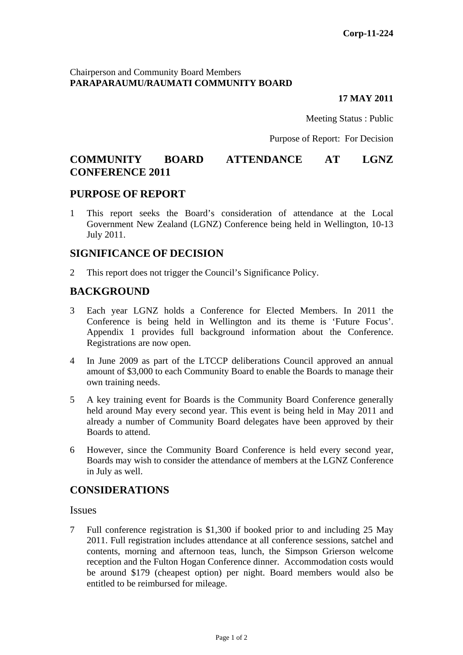### Chairperson and Community Board Members **PARAPARAUMU/RAUMATI COMMUNITY BOARD**

#### **17 MAY 2011**

Meeting Status : Public

Purpose of Report: For Decision

# **COMMUNITY BOARD ATTENDANCE AT LGNZ CONFERENCE 2011**

## **PURPOSE OF REPORT**

1 This report seeks the Board's consideration of attendance at the Local Government New Zealand (LGNZ) Conference being held in Wellington, 10-13 July 2011.

## **SIGNIFICANCE OF DECISION**

2 This report does not trigger the Council's Significance Policy.

# **BACKGROUND**

- 3 Each year LGNZ holds a Conference for Elected Members. In 2011 the Conference is being held in Wellington and its theme is 'Future Focus'. Appendix 1 provides full background information about the Conference. Registrations are now open.
- 4 In June 2009 as part of the LTCCP deliberations Council approved an annual amount of \$3,000 to each Community Board to enable the Boards to manage their own training needs.
- 5 A key training event for Boards is the Community Board Conference generally held around May every second year. This event is being held in May 2011 and already a number of Community Board delegates have been approved by their Boards to attend.
- 6 However, since the Community Board Conference is held every second year, Boards may wish to consider the attendance of members at the LGNZ Conference in July as well.

# **CONSIDERATIONS**

### **Issues**

7 Full conference registration is \$1,300 if booked prior to and including 25 May 2011. Full registration includes attendance at all conference sessions, satchel and contents, morning and afternoon teas, lunch, the Simpson Grierson welcome reception and the Fulton Hogan Conference dinner. Accommodation costs would be around \$179 (cheapest option) per night. Board members would also be entitled to be reimbursed for mileage.